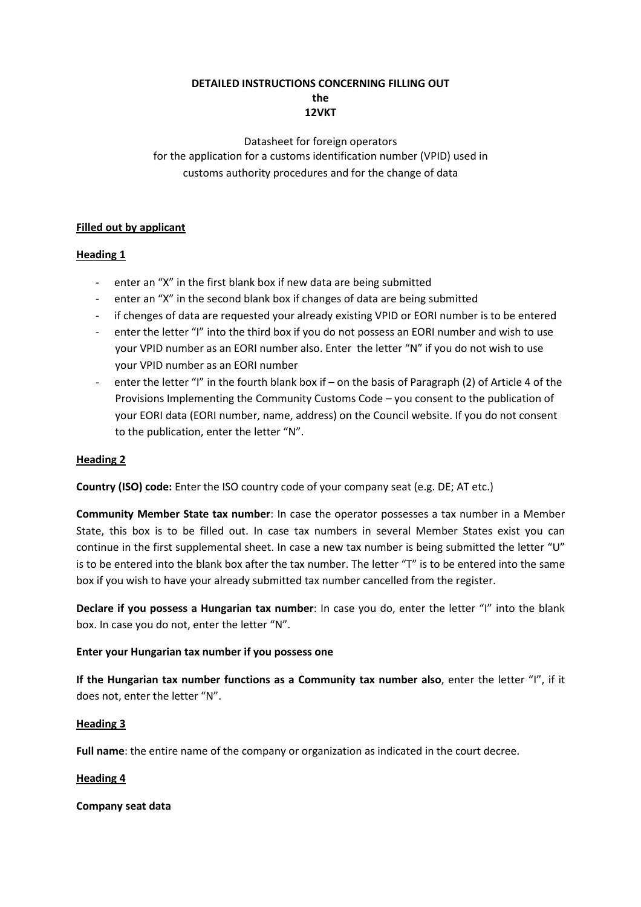# DETAILED INSTRUCTIONS CONCERNING FILLING OUT the 12VKT

Datasheet for foreign operators for the application for a customs identification number (VPID) used in customs authority procedures and for the change of data

# Filled out by applicant

# Heading 1

- enter an "X" in the first blank box if new data are being submitted
- enter an "X" in the second blank box if changes of data are being submitted
- if chenges of data are requested your already existing VPID or EORI number is to be entered
- enter the letter "I" into the third box if you do not possess an EORI number and wish to use your VPID number as an EORI number also. Enter the letter "N" if you do not wish to use your VPID number as an EORI number
- enter the letter "I" in the fourth blank box if on the basis of Paragraph (2) of Article 4 of the Provisions Implementing the Community Customs Code – you consent to the publication of your EORI data (EORI number, name, address) on the Council website. If you do not consent to the publication, enter the letter "N".

# Heading 2

Country (ISO) code: Enter the ISO country code of your company seat (e.g. DE; AT etc.)

Community Member State tax number: In case the operator possesses a tax number in a Member State, this box is to be filled out. In case tax numbers in several Member States exist you can continue in the first supplemental sheet. In case a new tax number is being submitted the letter "U" is to be entered into the blank box after the tax number. The letter "T" is to be entered into the same box if you wish to have your already submitted tax number cancelled from the register.

Declare if you possess a Hungarian tax number: In case you do, enter the letter "I" into the blank box. In case you do not, enter the letter "N".

## Enter your Hungarian tax number if you possess one

If the Hungarian tax number functions as a Community tax number also, enter the letter "I", if it does not, enter the letter "N".

## Heading 3

Full name: the entire name of the company or organization as indicated in the court decree.

## Heading 4

## Company seat data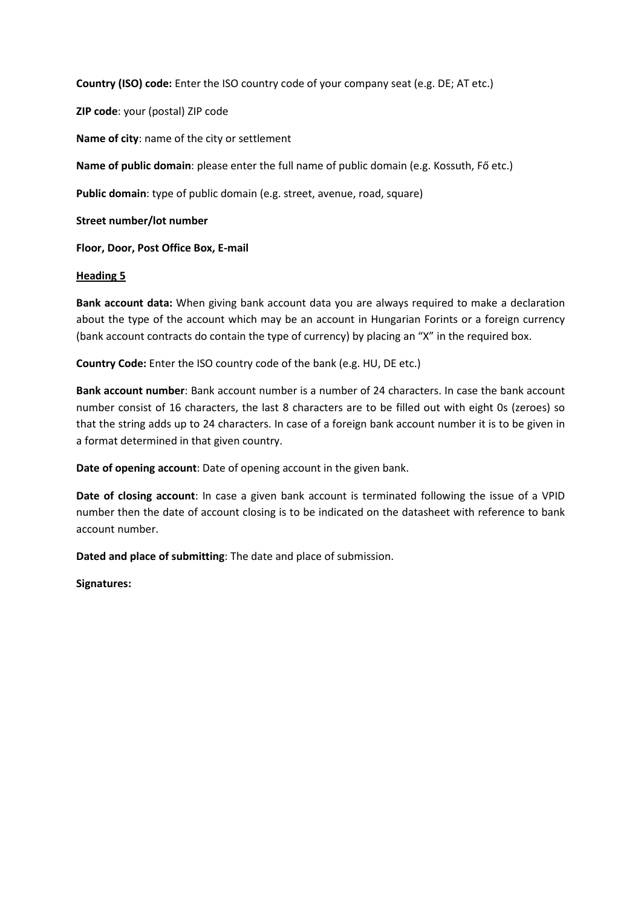Country (ISO) code: Enter the ISO country code of your company seat (e.g. DE; AT etc.)

ZIP code: your (postal) ZIP code

Name of city: name of the city or settlement

Name of public domain: please enter the full name of public domain (e.g. Kossuth, Fő etc.)

Public domain: type of public domain (e.g. street, avenue, road, square)

Street number/lot number

Floor, Door, Post Office Box, E-mail

## **Heading 5**

Bank account data: When giving bank account data you are always required to make a declaration about the type of the account which may be an account in Hungarian Forints or a foreign currency (bank account contracts do contain the type of currency) by placing an "X" in the required box.

Country Code: Enter the ISO country code of the bank (e.g. HU, DE etc.)

Bank account number: Bank account number is a number of 24 characters. In case the bank account number consist of 16 characters, the last 8 characters are to be filled out with eight 0s (zeroes) so that the string adds up to 24 characters. In case of a foreign bank account number it is to be given in a format determined in that given country.

Date of opening account: Date of opening account in the given bank.

Date of closing account: In case a given bank account is terminated following the issue of a VPID number then the date of account closing is to be indicated on the datasheet with reference to bank account number.

Dated and place of submitting: The date and place of submission.

Signatures: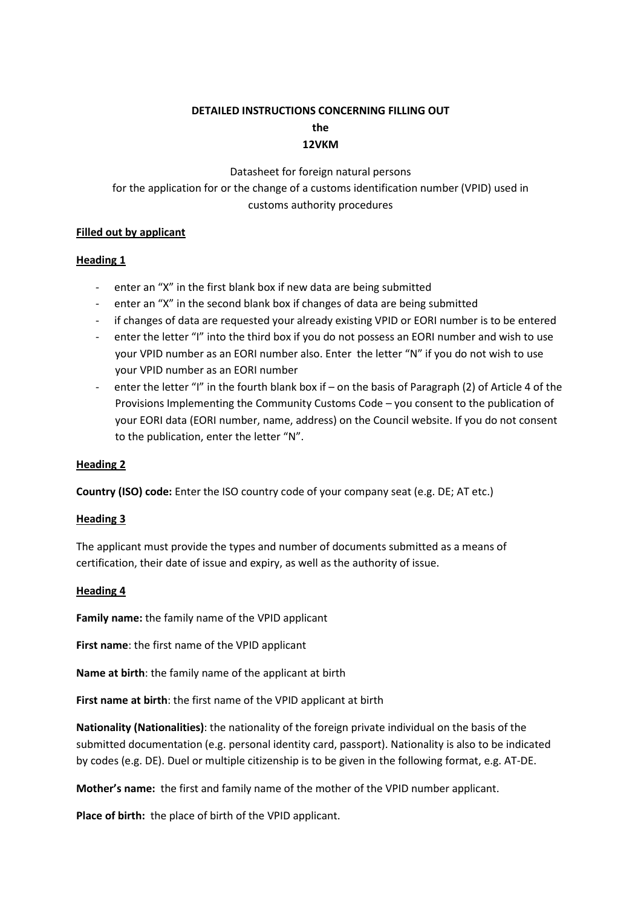# DETAILED INSTRUCTIONS CONCERNING FILLING OUT the 12VKM

Datasheet for foreign natural persons for the application for or the change of a customs identification number (VPID) used in customs authority procedures

# Filled out by applicant

# Heading 1

- enter an "X" in the first blank box if new data are being submitted
- enter an "X" in the second blank box if changes of data are being submitted
- if changes of data are requested your already existing VPID or EORI number is to be entered
- enter the letter "I" into the third box if you do not possess an EORI number and wish to use your VPID number as an EORI number also. Enter the letter "N" if you do not wish to use your VPID number as an EORI number
- enter the letter "I" in the fourth blank box if on the basis of Paragraph (2) of Article 4 of the Provisions Implementing the Community Customs Code – you consent to the publication of your EORI data (EORI number, name, address) on the Council website. If you do not consent to the publication, enter the letter "N".

# Heading 2

Country (ISO) code: Enter the ISO country code of your company seat (e.g. DE; AT etc.)

## Heading 3

The applicant must provide the types and number of documents submitted as a means of certification, their date of issue and expiry, as well as the authority of issue.

## **Heading 4**

Family name: the family name of the VPID applicant

First name: the first name of the VPID applicant

Name at birth: the family name of the applicant at birth

First name at birth: the first name of the VPID applicant at birth

Nationality (Nationalities): the nationality of the foreign private individual on the basis of the submitted documentation (e.g. personal identity card, passport). Nationality is also to be indicated by codes (e.g. DE). Duel or multiple citizenship is to be given in the following format, e.g. AT-DE.

Mother's name: the first and family name of the mother of the VPID number applicant.

Place of birth: the place of birth of the VPID applicant.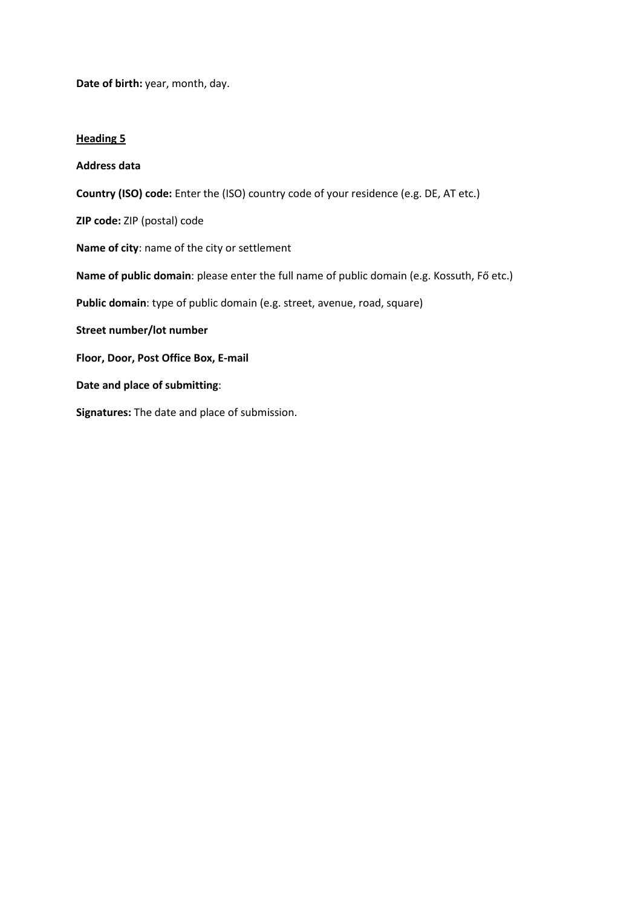Date of birth: year, month, day.

#### **Heading 5**

Address data Country (ISO) code: Enter the (ISO) country code of your residence (e.g. DE, AT etc.) ZIP code: ZIP (postal) code Name of city: name of the city or settlement Name of public domain: please enter the full name of public domain (e.g. Kossuth, Fő etc.) Public domain: type of public domain (e.g. street, avenue, road, square) Street number/lot number Floor, Door, Post Office Box, E-mail Date and place of submitting: Signatures: The date and place of submission.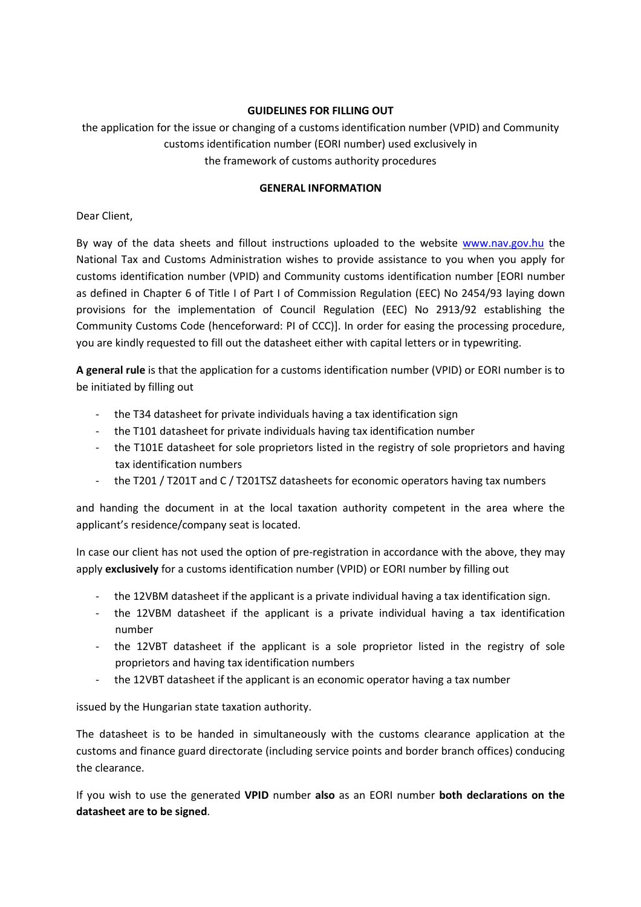# GUIDELINES FOR FILLING OUT

the application for the issue or changing of a customs identification number (VPID) and Community customs identification number (EORI number) used exclusively in the framework of customs authority procedures

# GENERAL INFORMATION

# Dear Client,

By way of the data sheets and fillout instructions uploaded to the website www.nav.gov.hu the National Tax and Customs Administration wishes to provide assistance to you when you apply for customs identification number (VPID) and Community customs identification number [EORI number as defined in Chapter 6 of Title I of Part I of Commission Regulation (EEC) No 2454/93 laying down provisions for the implementation of Council Regulation (EEC) No 2913/92 establishing the Community Customs Code (henceforward: PI of CCC)]. In order for easing the processing procedure, you are kindly requested to fill out the datasheet either with capital letters or in typewriting.

A general rule is that the application for a customs identification number (VPID) or EORI number is to be initiated by filling out

- the T34 datasheet for private individuals having a tax identification sign
- the T101 datasheet for private individuals having tax identification number
- the T101E datasheet for sole proprietors listed in the registry of sole proprietors and having tax identification numbers
- the T201 / T201T and C / T201TSZ datasheets for economic operators having tax numbers

and handing the document in at the local taxation authority competent in the area where the applicant's residence/company seat is located.

In case our client has not used the option of pre-registration in accordance with the above, they may apply exclusively for a customs identification number (VPID) or EORI number by filling out

- the 12VBM datasheet if the applicant is a private individual having a tax identification sign.
- the 12VBM datasheet if the applicant is a private individual having a tax identification number
- the 12VBT datasheet if the applicant is a sole proprietor listed in the registry of sole proprietors and having tax identification numbers
- the 12VBT datasheet if the applicant is an economic operator having a tax number

issued by the Hungarian state taxation authority.

The datasheet is to be handed in simultaneously with the customs clearance application at the customs and finance guard directorate (including service points and border branch offices) conducing the clearance.

If you wish to use the generated VPID number also as an EORI number both declarations on the datasheet are to be signed.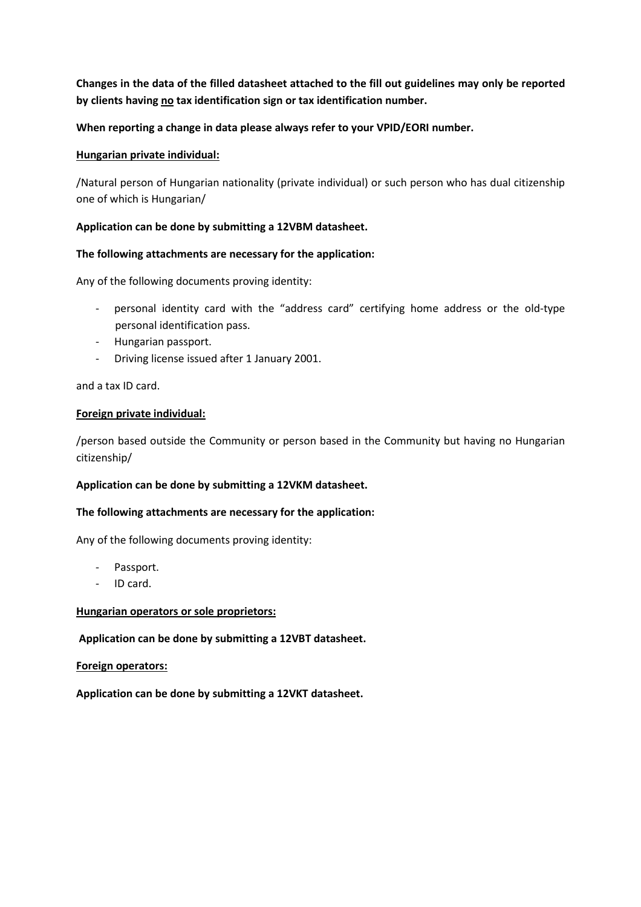Changes in the data of the filled datasheet attached to the fill out guidelines may only be reported by clients having no tax identification sign or tax identification number.

# When reporting a change in data please always refer to your VPID/EORI number.

## Hungarian private individual:

/Natural person of Hungarian nationality (private individual) or such person who has dual citizenship one of which is Hungarian/

### Application can be done by submitting a 12VBM datasheet.

#### The following attachments are necessary for the application:

Any of the following documents proving identity:

- personal identity card with the "address card" certifying home address or the old-type personal identification pass.
- Hungarian passport.
- Driving license issued after 1 January 2001.

and a tax ID card.

#### Foreign private individual:

/person based outside the Community or person based in the Community but having no Hungarian citizenship/

## Application can be done by submitting a 12VKM datasheet.

#### The following attachments are necessary for the application:

Any of the following documents proving identity:

- Passport.
- ID card.

#### Hungarian operators or sole proprietors:

## Application can be done by submitting a 12VBT datasheet.

#### Foreign operators:

Application can be done by submitting a 12VKT datasheet.